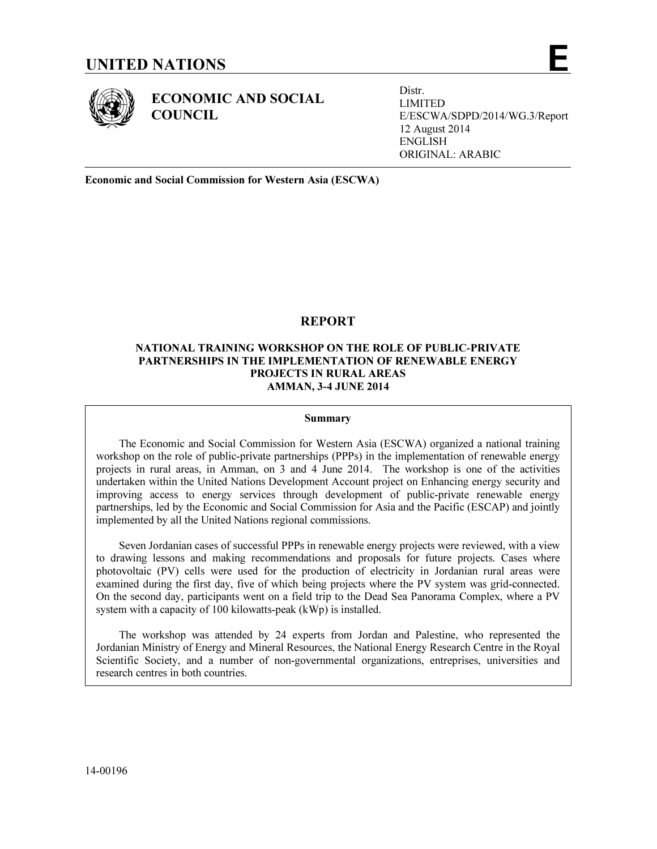ECONOMIC AND SOCIAL **COUNCIL** 

Distr. LIMITED E/ESCWA/SDPD/2014/WG.3/Report 12 August 2014 ENGLISH ORIGINAL: ARABIC

Economic and Social Commission for Western Asia (ESCWA)

# REPORT

# NATIONAL TRAINING WORKSHOP ON THE ROLE OF PUBLIC-PRIVATE PARTNERSHIPS IN THE IMPLEMENTATION OF RENEWABLE ENERGY PROJECTS IN RURAL AREAS AMMAN, 3-4 JUNE 2014

### Summary

 The Economic and Social Commission for Western Asia (ESCWA) organized a national training workshop on the role of public-private partnerships (PPPs) in the implementation of renewable energy projects in rural areas, in Amman, on 3 and 4 June 2014. The workshop is one of the activities undertaken within the United Nations Development Account project on Enhancing energy security and improving access to energy services through development of public-private renewable energy partnerships, led by the Economic and Social Commission for Asia and the Pacific (ESCAP) and jointly implemented by all the United Nations regional commissions.

 Seven Jordanian cases of successful PPPs in renewable energy projects were reviewed, with a view to drawing lessons and making recommendations and proposals for future projects. Cases where photovoltaic (PV) cells were used for the production of electricity in Jordanian rural areas were examined during the first day, five of which being projects where the PV system was grid-connected. On the second day, participants went on a field trip to the Dead Sea Panorama Complex, where a PV system with a capacity of 100 kilowatts-peak (kWp) is installed.

 The workshop was attended by 24 experts from Jordan and Palestine, who represented the Jordanian Ministry of Energy and Mineral Resources, the National Energy Research Centre in the Royal Scientific Society, and a number of non-governmental organizations, entreprises, universities and research centres in both countries.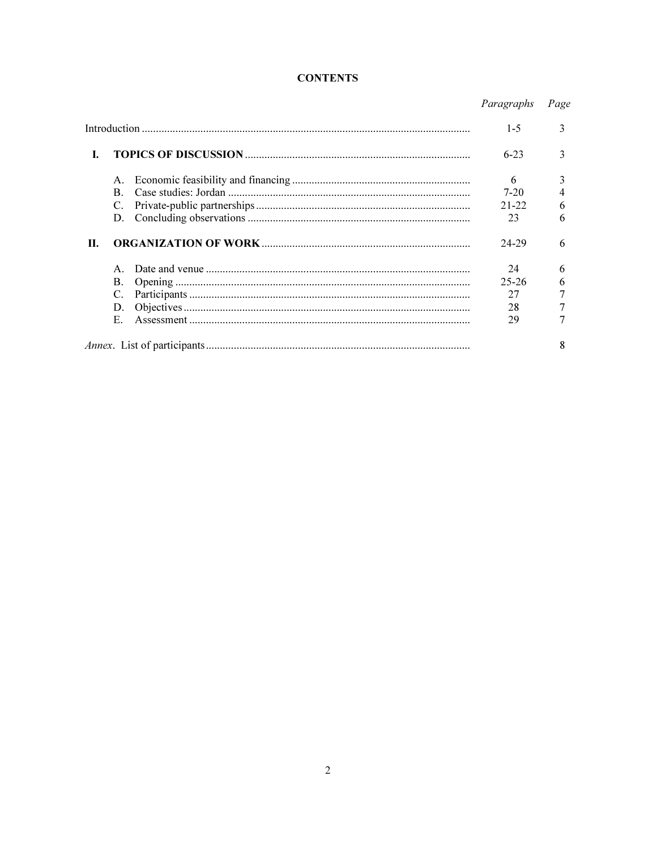# **CONTENTS**

|    |                |  | Paragraphs | Page |
|----|----------------|--|------------|------|
|    |                |  | $1 - 5$    | 3    |
| L. |                |  |            | 3    |
|    | A.             |  | 6          | 3    |
|    | $\mathbf{B}$ . |  | $7 - 20$   | 4    |
|    | C.             |  | $21 - 22$  | 6    |
|    | D.             |  | 23         | 6    |
| Н. |                |  | 24-29      | 6    |
|    | $\mathsf{A}$   |  | 24         | 6    |
|    | B.             |  | $25 - 26$  | 6    |
|    | C.             |  | 27         |      |
|    | D.             |  | 28         |      |
|    | Е.             |  | 29         |      |
|    |                |  |            | 8    |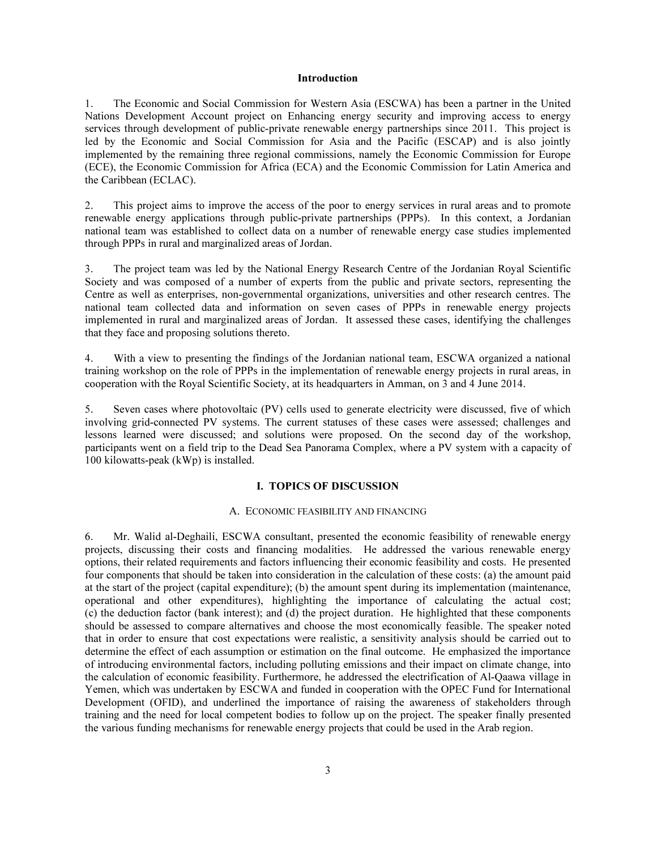#### Introduction

1. The Economic and Social Commission for Western Asia (ESCWA) has been a partner in the United Nations Development Account project on Enhancing energy security and improving access to energy services through development of public-private renewable energy partnerships since 2011. This project is led by the Economic and Social Commission for Asia and the Pacific (ESCAP) and is also jointly implemented by the remaining three regional commissions, namely the Economic Commission for Europe (ECE), the Economic Commission for Africa (ECA) and the Economic Commission for Latin America and the Caribbean (ECLAC).

2. This project aims to improve the access of the poor to energy services in rural areas and to promote renewable energy applications through public-private partnerships (PPPs). In this context, a Jordanian national team was established to collect data on a number of renewable energy case studies implemented through PPPs in rural and marginalized areas of Jordan.

3. The project team was led by the National Energy Research Centre of the Jordanian Royal Scientific Society and was composed of a number of experts from the public and private sectors, representing the Centre as well as enterprises, non-governmental organizations, universities and other research centres. The national team collected data and information on seven cases of PPPs in renewable energy projects implemented in rural and marginalized areas of Jordan. It assessed these cases, identifying the challenges that they face and proposing solutions thereto.

4. With a view to presenting the findings of the Jordanian national team, ESCWA organized a national training workshop on the role of PPPs in the implementation of renewable energy projects in rural areas, in cooperation with the Royal Scientific Society, at its headquarters in Amman, on 3 and 4 June 2014.

5. Seven cases where photovoltaic (PV) cells used to generate electricity were discussed, five of which involving grid-connected PV systems. The current statuses of these cases were assessed; challenges and lessons learned were discussed; and solutions were proposed. On the second day of the workshop, participants went on a field trip to the Dead Sea Panorama Complex, where a PV system with a capacity of 100 kilowatts-peak (kWp) is installed.

#### I. TOPICS OF DISCUSSION

### A. ECONOMIC FEASIBILITY AND FINANCING

6. Mr. Walid al-Deghaili, ESCWA consultant, presented the economic feasibility of renewable energy projects, discussing their costs and financing modalities. He addressed the various renewable energy options, their related requirements and factors influencing their economic feasibility and costs. He presented four components that should be taken into consideration in the calculation of these costs: (a) the amount paid at the start of the project (capital expenditure); (b) the amount spent during its implementation (maintenance, operational and other expenditures), highlighting the importance of calculating the actual cost; (c) the deduction factor (bank interest); and (d) the project duration. He highlighted that these components should be assessed to compare alternatives and choose the most economically feasible. The speaker noted that in order to ensure that cost expectations were realistic, a sensitivity analysis should be carried out to determine the effect of each assumption or estimation on the final outcome. He emphasized the importance of introducing environmental factors, including polluting emissions and their impact on climate change, into the calculation of economic feasibility. Furthermore, he addressed the electrification of Al-Qaawa village in Yemen, which was undertaken by ESCWA and funded in cooperation with the OPEC Fund for International Development (OFID), and underlined the importance of raising the awareness of stakeholders through training and the need for local competent bodies to follow up on the project. The speaker finally presented the various funding mechanisms for renewable energy projects that could be used in the Arab region.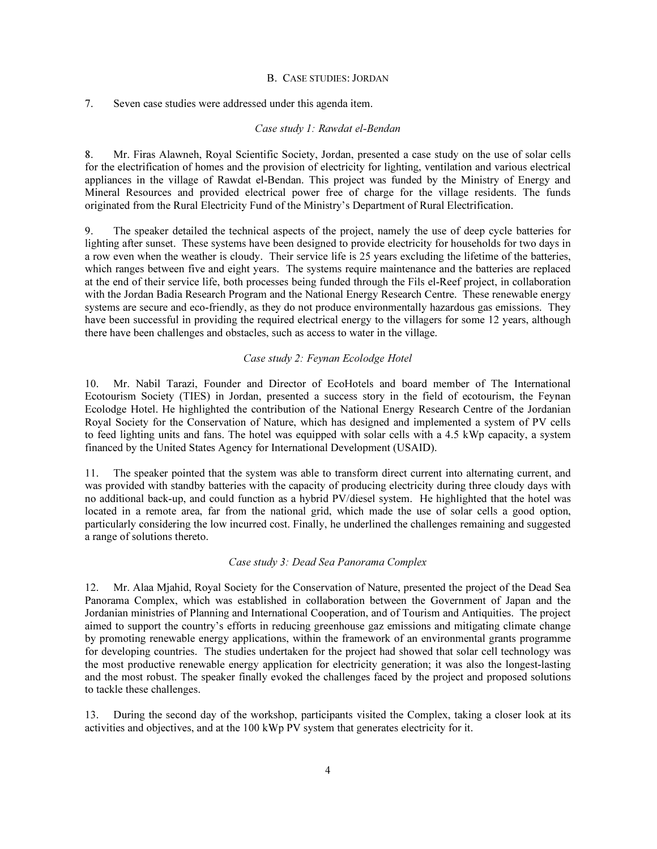## B. CASE STUDIES: JORDAN

### 7. Seven case studies were addressed under this agenda item.

### Case study 1: Rawdat el-Bendan

8. Mr. Firas Alawneh, Royal Scientific Society, Jordan, presented a case study on the use of solar cells for the electrification of homes and the provision of electricity for lighting, ventilation and various electrical appliances in the village of Rawdat el-Bendan. This project was funded by the Ministry of Energy and Mineral Resources and provided electrical power free of charge for the village residents. The funds originated from the Rural Electricity Fund of the Ministry's Department of Rural Electrification.

9. The speaker detailed the technical aspects of the project, namely the use of deep cycle batteries for lighting after sunset. These systems have been designed to provide electricity for households for two days in a row even when the weather is cloudy. Their service life is 25 years excluding the lifetime of the batteries, which ranges between five and eight years. The systems require maintenance and the batteries are replaced at the end of their service life, both processes being funded through the Fils el-Reef project, in collaboration with the Jordan Badia Research Program and the National Energy Research Centre. These renewable energy systems are secure and eco-friendly, as they do not produce environmentally hazardous gas emissions. They have been successful in providing the required electrical energy to the villagers for some 12 years, although there have been challenges and obstacles, such as access to water in the village.

### Case study 2: Feynan Ecolodge Hotel

10. Mr. Nabil Tarazi, Founder and Director of EcoHotels and board member of The International Ecotourism Society (TIES) in Jordan, presented a success story in the field of ecotourism, the Feynan Ecolodge Hotel. He highlighted the contribution of the National Energy Research Centre of the Jordanian Royal Society for the Conservation of Nature, which has designed and implemented a system of PV cells to feed lighting units and fans. The hotel was equipped with solar cells with a 4.5 kWp capacity, a system financed by the United States Agency for International Development (USAID).

11. The speaker pointed that the system was able to transform direct current into alternating current, and was provided with standby batteries with the capacity of producing electricity during three cloudy days with no additional back-up, and could function as a hybrid PV/diesel system. He highlighted that the hotel was located in a remote area, far from the national grid, which made the use of solar cells a good option, particularly considering the low incurred cost. Finally, he underlined the challenges remaining and suggested a range of solutions thereto.

#### Case study 3: Dead Sea Panorama Complex

12. Mr. Alaa Mjahid, Royal Society for the Conservation of Nature, presented the project of the Dead Sea Panorama Complex, which was established in collaboration between the Government of Japan and the Jordanian ministries of Planning and International Cooperation, and of Tourism and Antiquities. The project aimed to support the country's efforts in reducing greenhouse gaz emissions and mitigating climate change by promoting renewable energy applications, within the framework of an environmental grants programme for developing countries. The studies undertaken for the project had showed that solar cell technology was the most productive renewable energy application for electricity generation; it was also the longest-lasting and the most robust. The speaker finally evoked the challenges faced by the project and proposed solutions to tackle these challenges.

13. During the second day of the workshop, participants visited the Complex, taking a closer look at its activities and objectives, and at the 100 kWp PV system that generates electricity for it.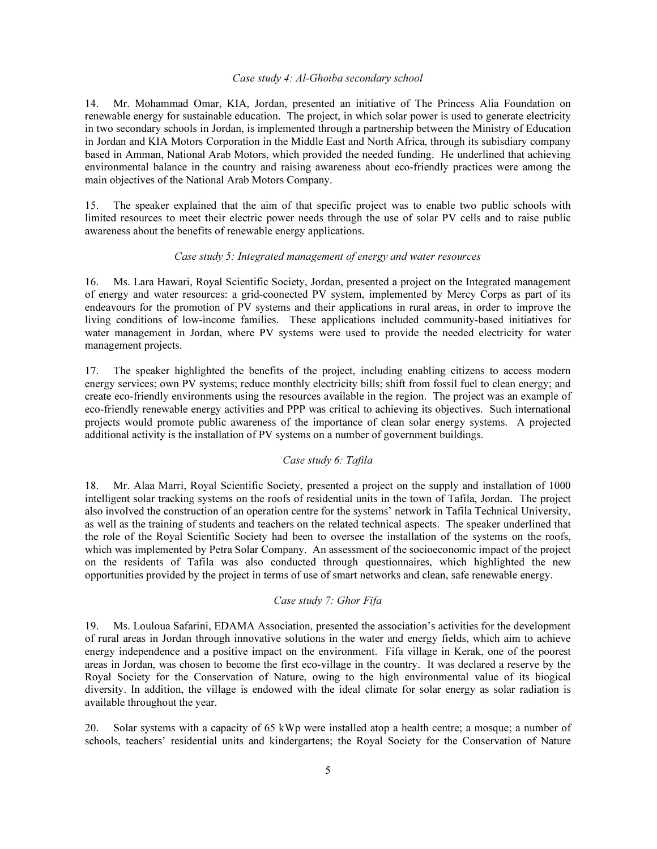### Case study 4: Al-Ghoiba secondary school

14. Mr. Mohammad Omar, KIA, Jordan, presented an initiative of The Princess Alia Foundation on renewable energy for sustainable education. The project, in which solar power is used to generate electricity in two secondary schools in Jordan, is implemented through a partnership between the Ministry of Education in Jordan and KIA Motors Corporation in the Middle East and North Africa, through its subisdiary company based in Amman, National Arab Motors, which provided the needed funding. He underlined that achieving environmental balance in the country and raising awareness about eco-friendly practices were among the main objectives of the National Arab Motors Company.

15. The speaker explained that the aim of that specific project was to enable two public schools with limited resources to meet their electric power needs through the use of solar PV cells and to raise public awareness about the benefits of renewable energy applications.

### Case study 5: Integrated management of energy and water resources

16. Ms. Lara Hawari, Royal Scientific Society, Jordan, presented a project on the Integrated management of energy and water resources: a grid-coonected PV system, implemented by Mercy Corps as part of its endeavours for the promotion of PV systems and their applications in rural areas, in order to improve the living conditions of low-income families. These applications included community-based initiatives for water management in Jordan, where PV systems were used to provide the needed electricity for water management projects.

17. The speaker highlighted the benefits of the project, including enabling citizens to access modern energy services; own PV systems; reduce monthly electricity bills; shift from fossil fuel to clean energy; and create eco-friendly environments using the resources available in the region. The project was an example of eco-friendly renewable energy activities and PPP was critical to achieving its objectives. Such international projects would promote public awareness of the importance of clean solar energy systems. A projected additional activity is the installation of PV systems on a number of government buildings.

# Case study 6: Tafila

18. Mr. Alaa Marri, Royal Scientific Society, presented a project on the supply and installation of 1000 intelligent solar tracking systems on the roofs of residential units in the town of Tafila, Jordan. The project also involved the construction of an operation centre for the systems' network in Tafila Technical University, as well as the training of students and teachers on the related technical aspects. The speaker underlined that the role of the Royal Scientific Society had been to oversee the installation of the systems on the roofs, which was implemented by Petra Solar Company. An assessment of the socioeconomic impact of the project on the residents of Tafila was also conducted through questionnaires, which highlighted the new opportunities provided by the project in terms of use of smart networks and clean, safe renewable energy.

### Case study 7: Ghor Fifa

19. Ms. Louloua Safarini, EDAMA Association, presented the association's activities for the development of rural areas in Jordan through innovative solutions in the water and energy fields, which aim to achieve energy independence and a positive impact on the environment. Fifa village in Kerak, one of the poorest areas in Jordan, was chosen to become the first eco-village in the country. It was declared a reserve by the Royal Society for the Conservation of Nature, owing to the high environmental value of its biogical diversity. In addition, the village is endowed with the ideal climate for solar energy as solar radiation is available throughout the year.

20. Solar systems with a capacity of 65 kWp were installed atop a health centre; a mosque; a number of schools, teachers' residential units and kindergartens; the Royal Society for the Conservation of Nature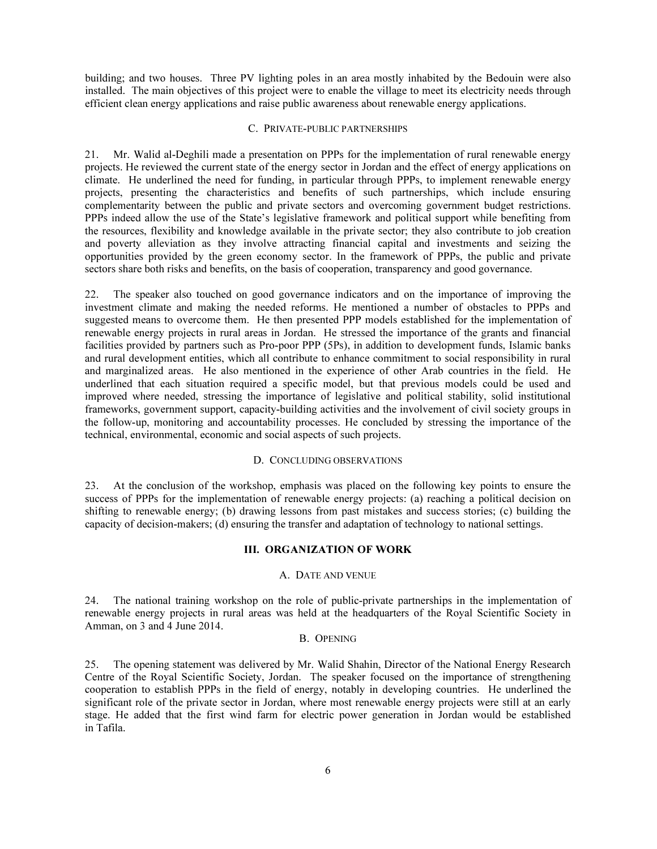building; and two houses. Three PV lighting poles in an area mostly inhabited by the Bedouin were also installed. The main objectives of this project were to enable the village to meet its electricity needs through efficient clean energy applications and raise public awareness about renewable energy applications.

### C. PRIVATE-PUBLIC PARTNERSHIPS

21. Mr. Walid al-Deghili made a presentation on PPPs for the implementation of rural renewable energy projects. He reviewed the current state of the energy sector in Jordan and the effect of energy applications on climate. He underlined the need for funding, in particular through PPPs, to implement renewable energy projects, presenting the characteristics and benefits of such partnerships, which include ensuring complementarity between the public and private sectors and overcoming government budget restrictions. PPPs indeed allow the use of the State's legislative framework and political support while benefiting from the resources, flexibility and knowledge available in the private sector; they also contribute to job creation and poverty alleviation as they involve attracting financial capital and investments and seizing the opportunities provided by the green economy sector. In the framework of PPPs, the public and private sectors share both risks and benefits, on the basis of cooperation, transparency and good governance.

22. The speaker also touched on good governance indicators and on the importance of improving the investment climate and making the needed reforms. He mentioned a number of obstacles to PPPs and suggested means to overcome them. He then presented PPP models established for the implementation of renewable energy projects in rural areas in Jordan. He stressed the importance of the grants and financial facilities provided by partners such as Pro-poor PPP (5Ps), in addition to development funds, Islamic banks and rural development entities, which all contribute to enhance commitment to social responsibility in rural and marginalized areas. He also mentioned in the experience of other Arab countries in the field. He underlined that each situation required a specific model, but that previous models could be used and improved where needed, stressing the importance of legislative and political stability, solid institutional frameworks, government support, capacity-building activities and the involvement of civil society groups in the follow-up, monitoring and accountability processes. He concluded by stressing the importance of the technical, environmental, economic and social aspects of such projects.

### D. CONCLUDING OBSERVATIONS

23. At the conclusion of the workshop, emphasis was placed on the following key points to ensure the success of PPPs for the implementation of renewable energy projects: (a) reaching a political decision on shifting to renewable energy; (b) drawing lessons from past mistakes and success stories; (c) building the capacity of decision-makers; (d) ensuring the transfer and adaptation of technology to national settings.

### III. ORGANIZATION OF WORK

### A. DATE AND VENUE

24. The national training workshop on the role of public-private partnerships in the implementation of renewable energy projects in rural areas was held at the headquarters of the Royal Scientific Society in Amman, on 3 and 4 June 2014.

#### B. OPENING

25. The opening statement was delivered by Mr. Walid Shahin, Director of the National Energy Research Centre of the Royal Scientific Society, Jordan. The speaker focused on the importance of strengthening cooperation to establish PPPs in the field of energy, notably in developing countries. He underlined the significant role of the private sector in Jordan, where most renewable energy projects were still at an early stage. He added that the first wind farm for electric power generation in Jordan would be established in Tafila.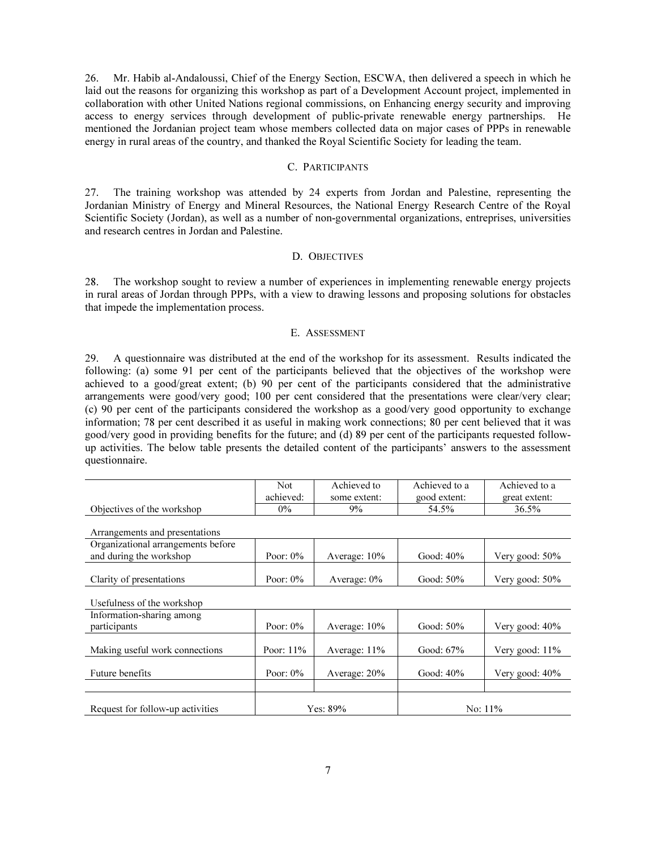26. Mr. Habib al-Andaloussi, Chief of the Energy Section, ESCWA, then delivered a speech in which he laid out the reasons for organizing this workshop as part of a Development Account project, implemented in collaboration with other United Nations regional commissions, on Enhancing energy security and improving access to energy services through development of public-private renewable energy partnerships. He mentioned the Jordanian project team whose members collected data on major cases of PPPs in renewable energy in rural areas of the country, and thanked the Royal Scientific Society for leading the team.

### C. PARTICIPANTS

27. The training workshop was attended by 24 experts from Jordan and Palestine, representing the Jordanian Ministry of Energy and Mineral Resources, the National Energy Research Centre of the Royal Scientific Society (Jordan), as well as a number of non-governmental organizations, entreprises, universities and research centres in Jordan and Palestine.

### D. OBJECTIVES

28. The workshop sought to review a number of experiences in implementing renewable energy projects in rural areas of Jordan through PPPs, with a view to drawing lessons and proposing solutions for obstacles that impede the implementation process.

### E. ASSESSMENT

29. A questionnaire was distributed at the end of the workshop for its assessment. Results indicated the following: (a) some 91 per cent of the participants believed that the objectives of the workshop were achieved to a good/great extent; (b) 90 per cent of the participants considered that the administrative arrangements were good/very good; 100 per cent considered that the presentations were clear/very clear; (c) 90 per cent of the participants considered the workshop as a good/very good opportunity to exchange information; 78 per cent described it as useful in making work connections; 80 per cent believed that it was good/very good in providing benefits for the future; and (d) 89 per cent of the participants requested followup activities. The below table presents the detailed content of the participants' answers to the assessment questionnaire.

|                            | Not       | Achieved to  | Achieved to a | Achieved to a |
|----------------------------|-----------|--------------|---------------|---------------|
|                            | achieved: | some extent: | good extent:  | great extent: |
| Objectives of the workshop | 0%        | $9\%$        | 54.5%         | 36.5%         |

Arrangements and presentations

| Organizational arrangements before<br>and during the workshop | Poor: $0\%$ | Average: $10\%$ | Good: 40% | Very good: $50\%$ |
|---------------------------------------------------------------|-------------|-----------------|-----------|-------------------|
| Clarity of presentations                                      | Poor: $0\%$ | Average: $0\%$  | Good: 50% | Very good: $50\%$ |

Usefulness of the workshop

| Information-sharing among        |              |                 |              |                   |  |
|----------------------------------|--------------|-----------------|--------------|-------------------|--|
| participants                     | Poor: $0\%$  | Average: $10\%$ | Good: $50\%$ | Very good: $40\%$ |  |
|                                  |              |                 |              |                   |  |
| Making useful work connections   | Poor: $11\%$ | Average: $11\%$ | Good: $67\%$ | Very good: 11%    |  |
|                                  |              |                 |              |                   |  |
| <b>Future benefits</b>           | Poor: $0\%$  | Average: $20\%$ | Good: $40\%$ | Very good: 40%    |  |
|                                  |              |                 |              |                   |  |
|                                  |              |                 |              |                   |  |
| Request for follow-up activities | Yes: 89%     |                 | No: $11\%$   |                   |  |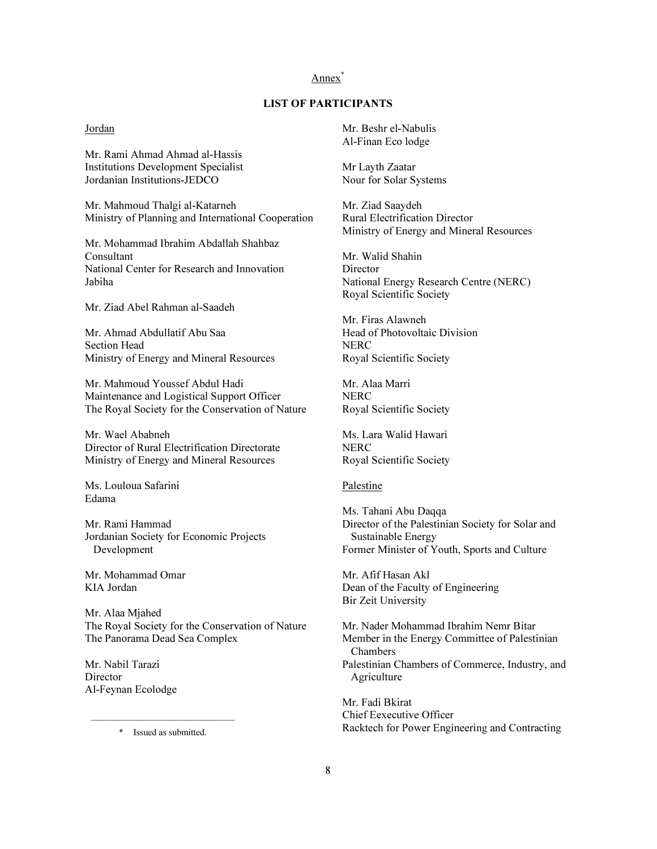# Annex<sup>\*</sup>

# LIST OF PARTICIPANTS

### Jordan

Mr. Rami Ahmad Ahmad al-Hassis Institutions Development Specialist Jordanian Institutions-JEDCO

Mr. Mahmoud Thalgi al-Katarneh Ministry of Planning and International Cooperation

Mr. Mohammad Ibrahim Abdallah Shahbaz Consultant National Center for Research and Innovation Jabiha

Mr. Ziad Abel Rahman al-Saadeh

Mr. Ahmad Abdullatif Abu Saa Section Head Ministry of Energy and Mineral Resources

Mr. Mahmoud Youssef Abdul Hadi Maintenance and Logistical Support Officer The Royal Society for the Conservation of Nature

Mr. Wael Ababneh Director of Rural Electrification Directorate Ministry of Energy and Mineral Resources

Ms. Louloua Safarini Edama

Mr. Rami Hammad Jordanian Society for Economic Projects Development

Mr. Mohammad Omar KIA Jordan

Mr. Alaa Mjahed The Royal Society for the Conservation of Nature The Panorama Dead Sea Complex

Mr. Nabil Tarazi **Director** Al-Feynan Ecolodge

\_\_\_\_\_\_\_\_\_\_\_\_\_\_\_\_\_\_\_\_\_\_\_\_\_\_ \* Issued as submitted.

Mr. Beshr el-Nabulis Al-Finan Eco lodge

Mr Layth Zaatar Nour for Solar Systems

Mr. Ziad Saaydeh Rural Electrification Director Ministry of Energy and Mineral Resources

Mr. Walid Shahin **Director** National Energy Research Centre (NERC) Royal Scientific Society

Mr. Firas Alawneh Head of Photovoltaic Division **NERC** Royal Scientific Society

Mr. Alaa Marri **NERC** Royal Scientific Society

Ms. Lara Walid Hawari **NERC** Royal Scientific Society

#### Palestine

Ms. Tahani Abu Daqqa Director of the Palestinian Society for Solar and Sustainable Energy Former Minister of Youth, Sports and Culture

Mr. Afif Hasan Akl Dean of the Faculty of Engineering Bir Zeit University

Mr. Nader Mohammad Ibrahim Nemr Bitar Member in the Energy Committee of Palestinian Chambers Palestinian Chambers of Commerce, Industry, and Agriculture

Mr. Fadi Bkirat Chief Eexecutive Officer Racktech for Power Engineering and Contracting